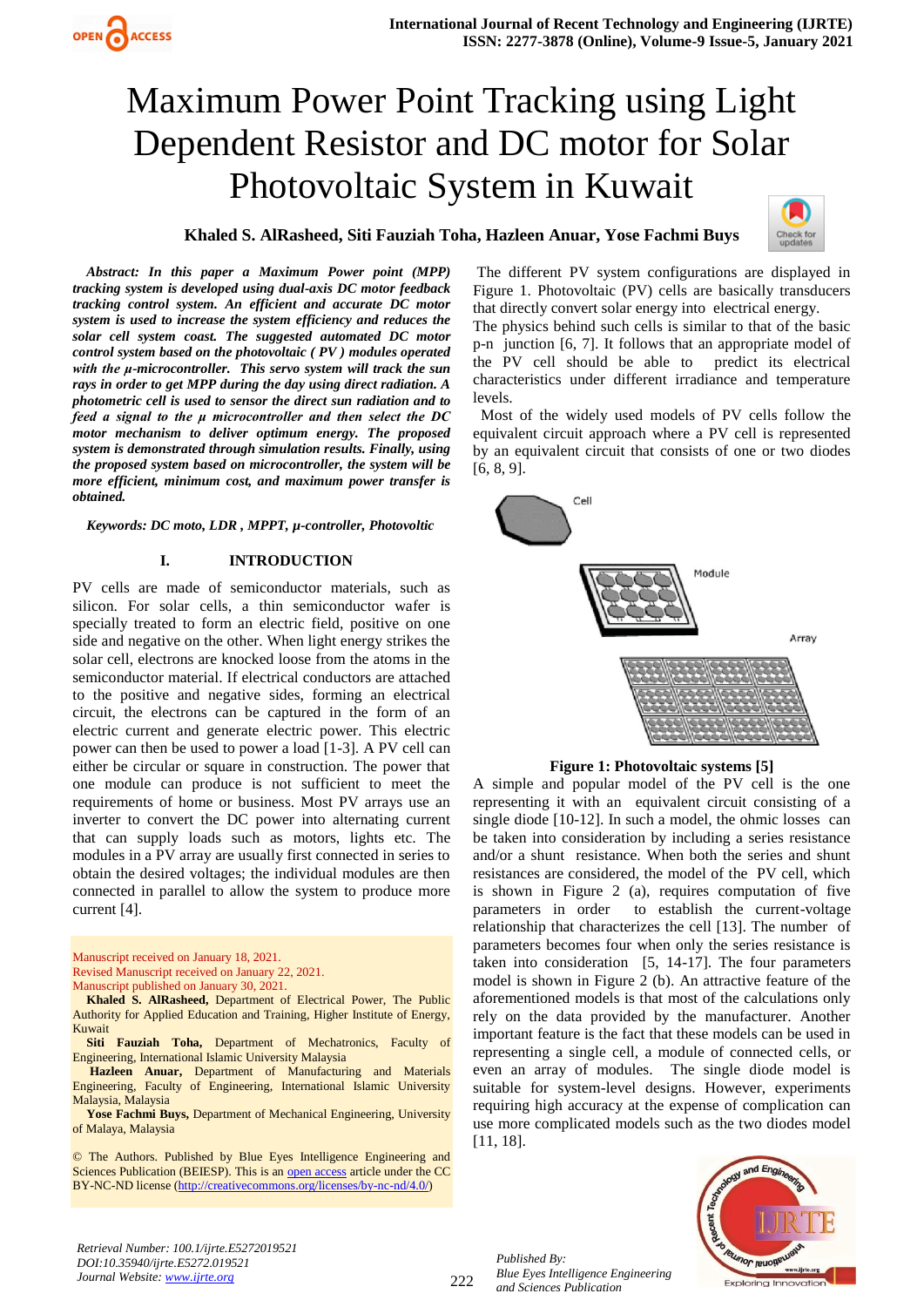## **Khaled S. AlRasheed, Siti Fauziah Toha, Hazleen Anuar, Yose Fachmi Buys**



*Abstract: In this paper a Maximum Power point (MPP) tracking system is developed using dual-axis DC motor feedback tracking control system. An efficient and accurate DC motor system is used to increase the system efficiency and reduces the solar cell system coast. The suggested automated DC motor control system based on the photovoltaic ( PV ) modules operated with the μ-microcontroller. This servo system will track the sun rays in order to get MPP during the day using direct radiation. A photometric cell is used to sensor the direct sun radiation and to feed a signal to the μ microcontroller and then select the DC motor mechanism to deliver optimum energy. The proposed system is demonstrated through simulation results. Finally, using the proposed system based on microcontroller, the system will be more efficient, minimum cost, and maximum power transfer is obtained.*

*Keywords: DC moto, LDR , MPPT, µ-controller, Photovoltic* 

## **I. INTRODUCTION**

PV cells are made of semiconductor materials, such as silicon. For solar cells, a thin semiconductor wafer is specially treated to form an electric field, positive on one side and negative on the other. When light energy strikes the solar cell, electrons are knocked loose from the atoms in the semiconductor material. If electrical conductors are attached to the positive and negative sides, forming an electrical circuit, the electrons can be captured in the form of an electric current and generate electric power. This electric power can then be used to power a load [1-3]. A PV cell can either be circular or square in construction. The power that one module can produce is not sufficient to meet the requirements of home or business. Most PV arrays use an inverter to convert the DC power into alternating current that can supply loads such as motors, lights etc. The modules in a PV array are usually first connected in series to obtain the desired voltages; the individual modules are then connected in parallel to allow the system to produce more current [4].

Manuscript received on January 18, 2021. Revised Manuscript received on January 22, 2021. Manuscript published on January 30, 2021.

**Khaled S. AlRasheed,** Department of Electrical Power, The Public Authority for Applied Education and Training, Higher Institute of Energy, Kuwait

**Siti Fauziah Toha,** Department of Mechatronics, Faculty of Engineering, International Islamic University Malaysia

**Hazleen Anuar,** Department of Manufacturing and Materials Engineering, Faculty of Engineering, International Islamic University Malaysia, Malaysia

**Yose Fachmi Buys,** Department of Mechanical Engineering, University of Malaya, Malaysia

© The Authors. Published by Blue Eyes Intelligence Engineering and Sciences Publication (BEIESP). This is an [open access](https://www.openaccess.nl/en/open-publications) article under the CC BY-NC-ND license [\(http://creativecommons.org/licenses/by-nc-nd/4.0/\)](http://creativecommons.org/licenses/by-nc-nd/4.0/)

The different PV system configurations are displayed in Figure 1. Photovoltaic (PV) cells are basically transducers that directly convert solar energy into electrical energy.

The physics behind such cells is similar to that of the basic p-n junction [6, 7]. It follows that an appropriate model of the PV cell should be able to predict its electrical characteristics under different irradiance and temperature levels.

 Most of the widely used models of PV cells follow the equivalent circuit approach where a PV cell is represented by an equivalent circuit that consists of one or two diodes [6, 8, 9].



**Figure 1: Photovoltaic systems [5]**

A simple and popular model of the PV cell is the one representing it with an equivalent circuit consisting of a single diode [10-12]. In such a model, the ohmic losses can be taken into consideration by including a series resistance and/or a shunt resistance. When both the series and shunt resistances are considered, the model of the PV cell, which is shown in Figure 2 (a), requires computation of five parameters in order to establish the current-voltage relationship that characterizes the cell [13]. The number of parameters becomes four when only the series resistance is taken into consideration [5, 14-17]. The four parameters model is shown in Figure 2 (b). An attractive feature of the aforementioned models is that most of the calculations only rely on the data provided by the manufacturer. Another important feature is the fact that these models can be used in representing a single cell, a module of connected cells, or even an array of modules. The single diode model is suitable for system-level designs. However, experiments requiring high accuracy at the expense of complication can use more complicated models such as the two diodes model [11, 18].



*Retrieval Number: 100.1/ijrte.E5272019521 DOI:10.35940/ijrte.E5272.019521 Journal Website: www.ijrte.org*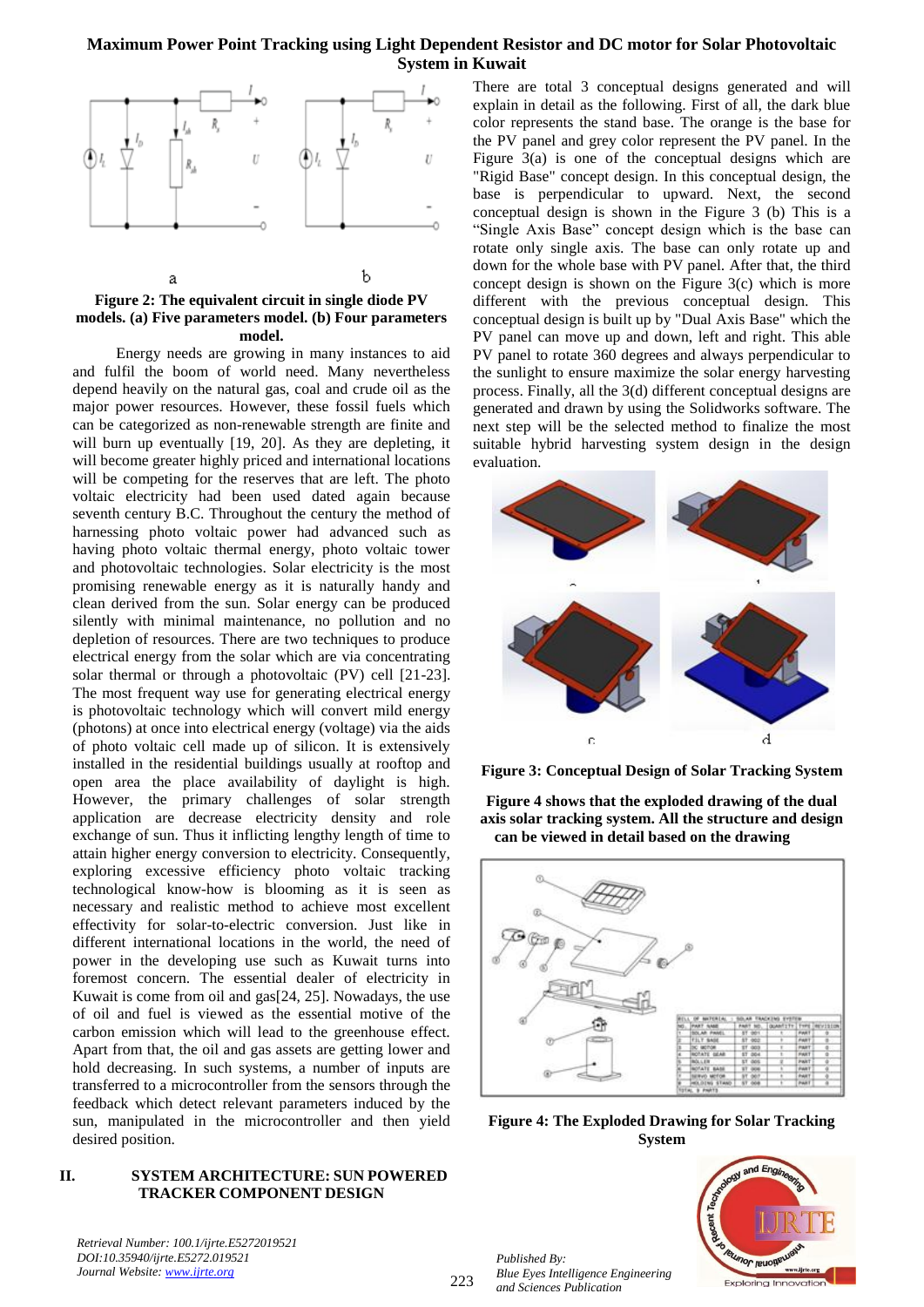

## **Figure 2: The equivalent circuit in single diode PV models. (a) Five parameters model. (b) Four parameters model.**

Energy needs are growing in many instances to aid and fulfil the boom of world need. Many nevertheless depend heavily on the natural gas, coal and crude oil as the major power resources. However, these fossil fuels which can be categorized as non-renewable strength are finite and will burn up eventually [19, 20]. As they are depleting, it will become greater highly priced and international locations will be competing for the reserves that are left. The photo voltaic electricity had been used dated again because seventh century B.C. Throughout the century the method of harnessing photo voltaic power had advanced such as having photo voltaic thermal energy, photo voltaic tower and photovoltaic technologies. Solar electricity is the most promising renewable energy as it is naturally handy and clean derived from the sun. Solar energy can be produced silently with minimal maintenance, no pollution and no depletion of resources. There are two techniques to produce electrical energy from the solar which are via concentrating solar thermal or through a photovoltaic (PV) cell [21-23]. The most frequent way use for generating electrical energy is photovoltaic technology which will convert mild energy (photons) at once into electrical energy (voltage) via the aids of photo voltaic cell made up of silicon. It is extensively installed in the residential buildings usually at rooftop and open area the place availability of daylight is high. However, the primary challenges of solar strength application are decrease electricity density and role exchange of sun. Thus it inflicting lengthy length of time to attain higher energy conversion to electricity. Consequently, exploring excessive efficiency photo voltaic tracking technological know-how is blooming as it is seen as necessary and realistic method to achieve most excellent effectivity for solar-to-electric conversion. Just like in different international locations in the world, the need of power in the developing use such as Kuwait turns into foremost concern. The essential dealer of electricity in Kuwait is come from oil and gas[24, 25]. Nowadays, the use of oil and fuel is viewed as the essential motive of the carbon emission which will lead to the greenhouse effect. Apart from that, the oil and gas assets are getting lower and hold decreasing. In such systems, a number of inputs are transferred to a microcontroller from the sensors through the feedback which detect relevant parameters induced by the sun, manipulated in the microcontroller and then yield desired position.

## **II. SYSTEM ARCHITECTURE: SUN POWERED TRACKER COMPONENT DESIGN**

*Retrieval Number: 100.1/ijrte.E5272019521 DOI:10.35940/ijrte.E5272.019521 Journal Website: www.ijrte.org*

There are total 3 conceptual designs generated and will explain in detail as the following. First of all, the dark blue color represents the stand base. The orange is the base for the PV panel and grey color represent the PV panel. In the Figure 3(a) is one of the conceptual designs which are "Rigid Base" concept design. In this conceptual design, the base is perpendicular to upward. Next, the second conceptual design is shown in the Figure 3 (b) This is a "Single Axis Base" concept design which is the base can rotate only single axis. The base can only rotate up and down for the whole base with PV panel. After that, the third concept design is shown on the Figure  $3(c)$  which is more different with the previous conceptual design. This conceptual design is built up by "Dual Axis Base" which the PV panel can move up and down, left and right. This able PV panel to rotate 360 degrees and always perpendicular to the sunlight to ensure maximize the solar energy harvesting process. Finally, all the 3(d) different conceptual designs are generated and drawn by using the Solidworks software. The next step will be the selected method to finalize the most suitable hybrid harvesting system design in the design evaluation.



**Figure 3: Conceptual Design of Solar Tracking System** 

**Figure 4 shows that the exploded drawing of the dual axis solar tracking system. All the structure and design can be viewed in detail based on the drawing**



**Figure 4: The Exploded Drawing for Solar Tracking System**

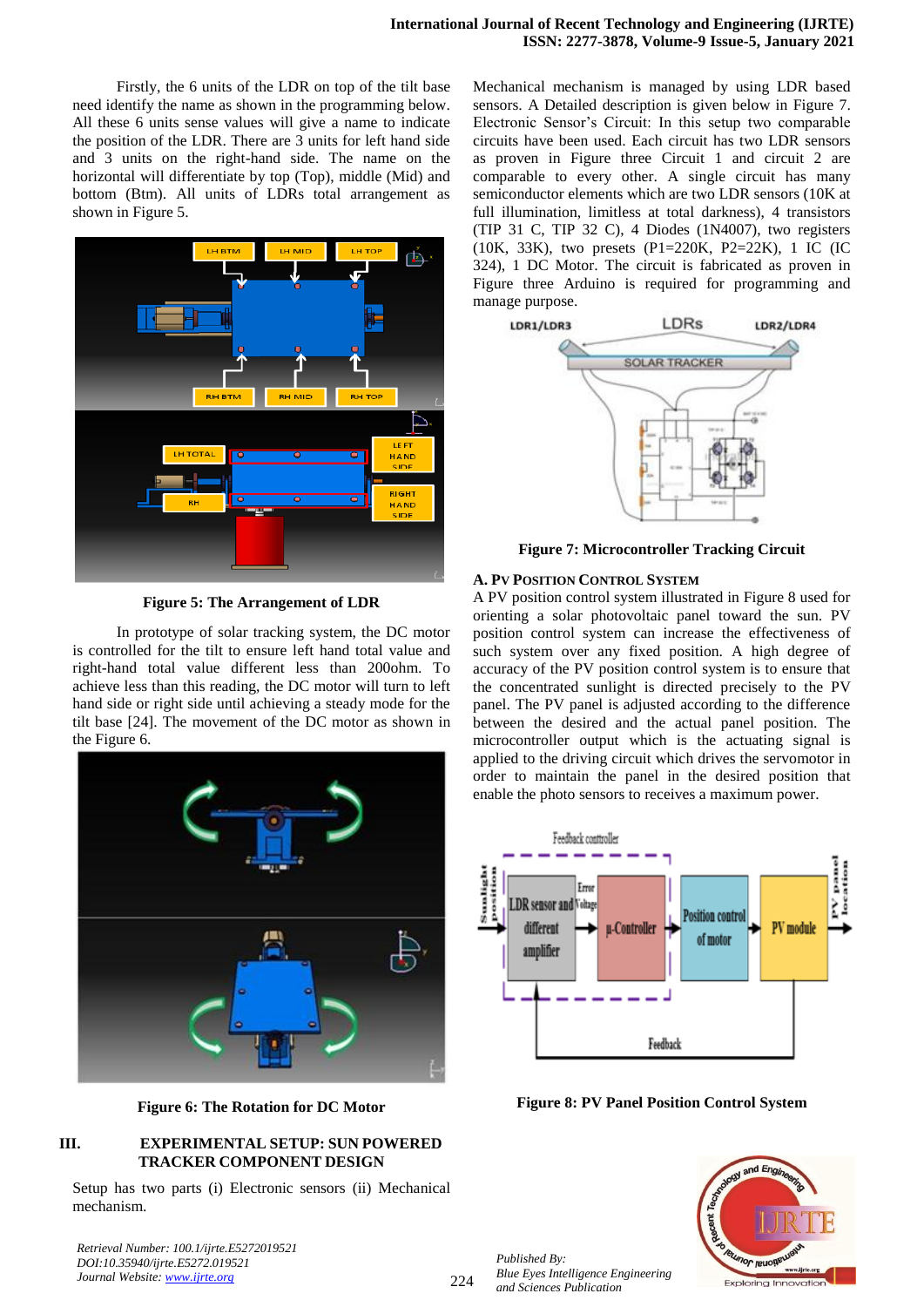Firstly, the 6 units of the LDR on top of the tilt base need identify the name as shown in the programming below. All these 6 units sense values will give a name to indicate the position of the LDR. There are 3 units for left hand side and 3 units on the right-hand side. The name on the horizontal will differentiate by top (Top), middle (Mid) and bottom (Btm). All units of LDRs total arrangement as shown in Figure 5.



**Figure 5: The Arrangement of LDR**

In prototype of solar tracking system, the DC motor is controlled for the tilt to ensure left hand total value and right-hand total value different less than 200ohm. To achieve less than this reading, the DC motor will turn to left hand side or right side until achieving a steady mode for the tilt base [24]. The movement of the DC motor as shown in the Figure 6.



**Figure 6: The Rotation for DC Motor**

## **III. EXPERIMENTAL SETUP: SUN POWERED TRACKER COMPONENT DESIGN**

Setup has two parts (i) Electronic sensors (ii) Mechanical mechanism.

*Retrieval Number: 100.1/ijrte.E5272019521 DOI:10.35940/ijrte.E5272.019521 Journal Website: www.ijrte.org*

Mechanical mechanism is managed by using LDR based sensors. A Detailed description is given below in Figure 7. Electronic Sensor's Circuit: In this setup two comparable circuits have been used. Each circuit has two LDR sensors as proven in Figure three Circuit 1 and circuit 2 are comparable to every other. A single circuit has many semiconductor elements which are two LDR sensors (10K at full illumination, limitless at total darkness), 4 transistors (TIP 31 C, TIP 32 C), 4 Diodes (1N4007), two registers (10K, 33K), two presets (P1=220K, P2=22K), 1 IC (IC 324), 1 DC Motor. The circuit is fabricated as proven in Figure three Arduino is required for programming and manage purpose.



**Figure 7: Microcontroller Tracking Circuit**

## **A. PV POSITION CONTROL SYSTEM**

A PV position control system illustrated in Figure 8 used for orienting a solar photovoltaic panel toward the sun. PV position control system can increase the effectiveness of such system over any fixed position. A high degree of accuracy of the PV position control system is to ensure that the concentrated sunlight is directed precisely to the PV panel. The PV panel is adjusted according to the difference between the desired and the actual panel position. The microcontroller output which is the actuating signal is applied to the driving circuit which drives the servomotor in order to maintain the panel in the desired position that enable the photo sensors to receives a maximum power.



**Figure 8: PV Panel Position Control System**

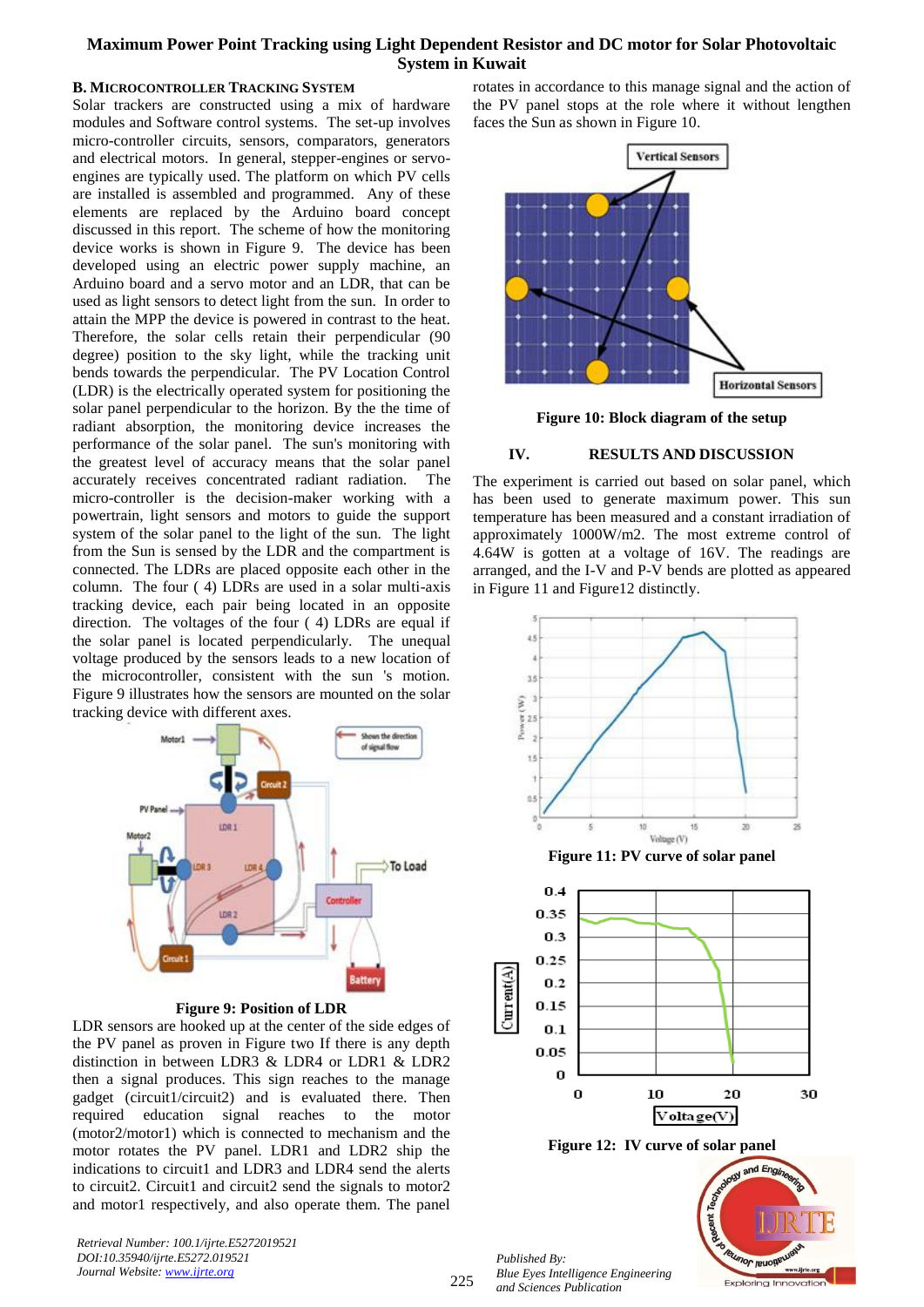## **B. MICROCONTROLLER TRACKING SYSTEM**

Solar trackers are constructed using a mix of hardware modules and Software control systems. The set-up involves micro-controller circuits, sensors, comparators, generators and electrical motors. In general, stepper-engines or servoengines are typically used. The platform on which PV cells are installed is assembled and programmed. Any of these elements are replaced by the Arduino board concept discussed in this report. The scheme of how the monitoring device works is shown in Figure 9. The device has been developed using an electric power supply machine, an Arduino board and a servo motor and an LDR, that can be used as light sensors to detect light from the sun. In order to attain the MPP the device is powered in contrast to the heat. Therefore, the solar cells retain their perpendicular (90 degree) position to the sky light, while the tracking unit bends towards the perpendicular. The PV Location Control (LDR) is the electrically operated system for positioning the solar panel perpendicular to the horizon. By the the time of radiant absorption, the monitoring device increases the performance of the solar panel. The sun's monitoring with the greatest level of accuracy means that the solar panel accurately receives concentrated radiant radiation. The micro-controller is the decision-maker working with a powertrain, light sensors and motors to guide the support system of the solar panel to the light of the sun. The light from the Sun is sensed by the LDR and the compartment is connected. The LDRs are placed opposite each other in the column. The four ( 4) LDRs are used in a solar multi-axis tracking device, each pair being located in an opposite direction. The voltages of the four ( 4) LDRs are equal if the solar panel is located perpendicularly. The unequal voltage produced by the sensors leads to a new location of the microcontroller, consistent with the sun 's motion. Figure 9 illustrates how the sensors are mounted on the solar tracking device with different axes.



## **Figure 9: Position of LDR**

LDR sensors are hooked up at the center of the side edges of the PV panel as proven in Figure two If there is any depth distinction in between LDR3 & LDR4 or LDR1 & LDR2 then a signal produces. This sign reaches to the manage gadget (circuit1/circuit2) and is evaluated there. Then required education signal reaches to the motor (motor2/motor1) which is connected to mechanism and the motor rotates the PV panel. LDR1 and LDR2 ship the indications to circuit1 and LDR3 and LDR4 send the alerts to circuit2. Circuit1 and circuit2 send the signals to motor2 and motor1 respectively, and also operate them. The panel

*Retrieval Number: 100.1/ijrte.E5272019521 DOI:10.35940/ijrte.E5272.019521 Journal Website: www.ijrte.org*

rotates in accordance to this manage signal and the action of the PV panel stops at the role where it without lengthen faces the Sun as shown in Figure 10.



**Figure 10: Block diagram of the setup**

## **IV. RESULTS AND DISCUSSION**

The experiment is carried out based on solar panel, which has been used to generate maximum power. This sun temperature has been measured and a constant irradiation of approximately 1000W/m2. The most extreme control of 4.64W is gotten at a voltage of 16V. The readings are arranged, and the I-V and P-V bends are plotted as appeared in Figure 11 and Figure12 distinctly.







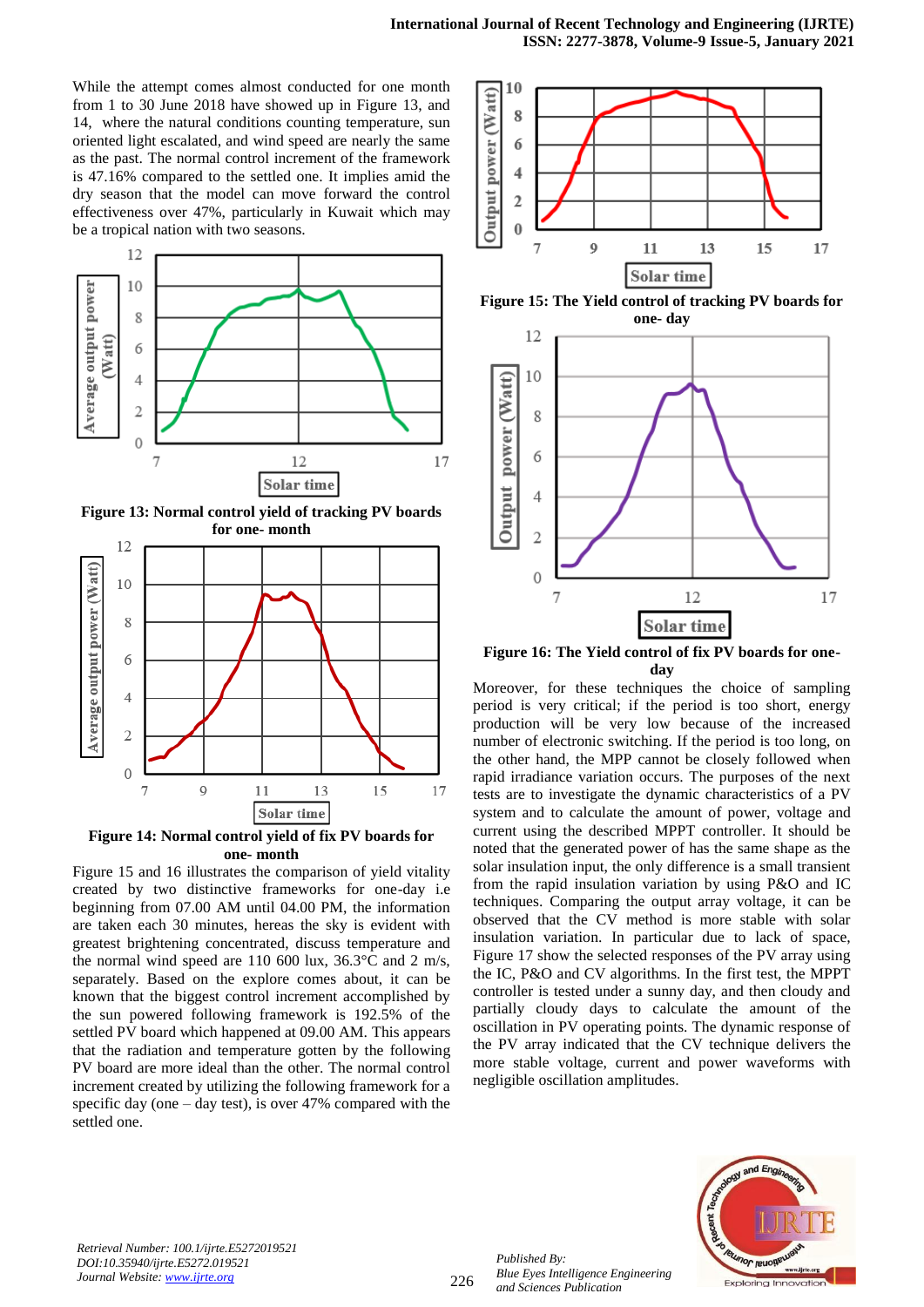While the attempt comes almost conducted for one month from 1 to 30 June 2018 have showed up in Figure 13, and 14, where the natural conditions counting temperature, sun oriented light escalated, and wind speed are nearly the same as the past. The normal control increment of the framework is 47.16% compared to the settled one. It implies amid the dry season that the model can move forward the control effectiveness over 47%, particularly in Kuwait which may be a tropical nation with two seasons.



**Figure 13: Normal control yield of tracking PV boards for one- month**



**Figure 14: Normal control yield of fix PV boards for one- month**

Figure 15 and 16 illustrates the comparison of yield vitality created by two distinctive frameworks for one-day i.e beginning from 07.00 AM until 04.00 PM, the information are taken each 30 minutes, hereas the sky is evident with greatest brightening concentrated, discuss temperature and the normal wind speed are 110 600 lux,  $36.3^{\circ}$ C and 2 m/s, separately. Based on the explore comes about, it can be known that the biggest control increment accomplished by the sun powered following framework is 192.5% of the settled PV board which happened at 09.00 AM. This appears that the radiation and temperature gotten by the following PV board are more ideal than the other. The normal control increment created by utilizing the following framework for a specific day (one  $-$  day test), is over 47% compared with the settled one.



**Figure 15: The Yield control of tracking PV boards for one- day**



**Figure 16: The Yield control of fix PV boards for oneday**

Moreover, for these techniques the choice of sampling period is very critical; if the period is too short, energy production will be very low because of the increased number of electronic switching. If the period is too long, on the other hand, the MPP cannot be closely followed when rapid irradiance variation occurs. The purposes of the next tests are to investigate the dynamic characteristics of a PV system and to calculate the amount of power, voltage and current using the described MPPT controller. It should be noted that the generated power of has the same shape as the solar insulation input, the only difference is a small transient from the rapid insulation variation by using P&O and IC techniques. Comparing the output array voltage, it can be observed that the CV method is more stable with solar insulation variation. In particular due to lack of space, Figure 17 show the selected responses of the PV array using the IC, P&O and CV algorithms. In the first test, the MPPT controller is tested under a sunny day, and then cloudy and partially cloudy days to calculate the amount of the oscillation in PV operating points. The dynamic response of the PV array indicated that the CV technique delivers the more stable voltage, current and power waveforms with negligible oscillation amplitudes.



*Retrieval Number: 100.1/ijrte.E5272019521 DOI:10.35940/ijrte.E5272.019521 Journal Website: www.ijrte.org*

*Published By:*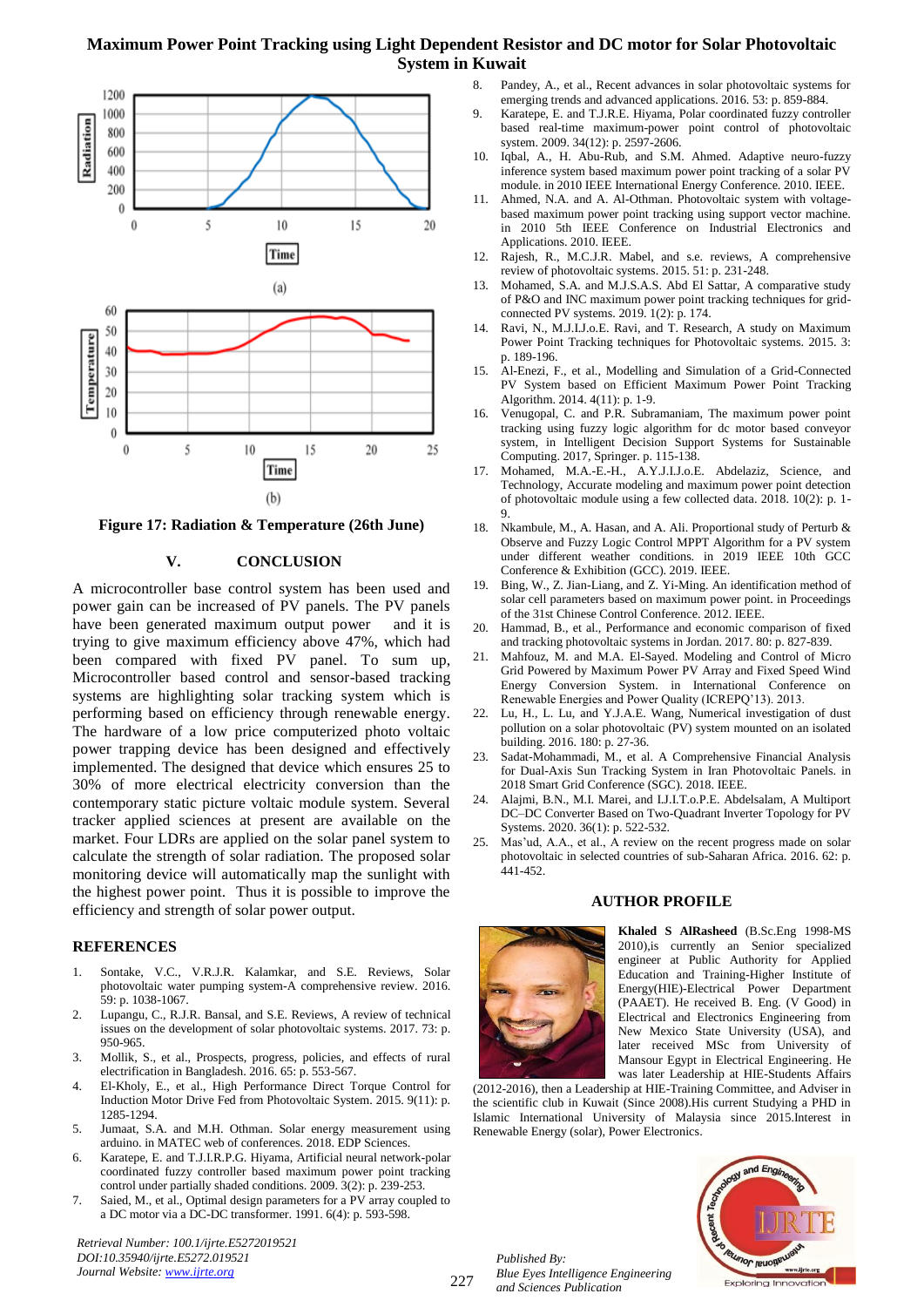

**Figure 17: Radiation & Temperature (26th June)**

## **V. CONCLUSION**

A microcontroller base control system has been used and power gain can be increased of PV panels. The PV panels have been generated maximum output power and it is trying to give maximum efficiency above 47%, which had been compared with fixed PV panel. To sum up, Microcontroller based control and sensor-based tracking systems are highlighting solar tracking system which is performing based on efficiency through renewable energy. The hardware of a low price computerized photo voltaic power trapping device has been designed and effectively implemented. The designed that device which ensures 25 to 30% of more electrical electricity conversion than the contemporary static picture voltaic module system. Several tracker applied sciences at present are available on the market. Four LDRs are applied on the solar panel system to calculate the strength of solar radiation. The proposed solar monitoring device will automatically map the sunlight with the highest power point. Thus it is possible to improve the efficiency and strength of solar power output.

#### **REFERENCES**

- 1. Sontake, V.C., V.R.J.R. Kalamkar, and S.E. Reviews, Solar photovoltaic water pumping system-A comprehensive review. 2016. 59: p. 1038-1067.
- 2. Lupangu, C., R.J.R. Bansal, and S.E. Reviews, A review of technical issues on the development of solar photovoltaic systems. 2017. 73: p. 950-965.
- 3. Mollik, S., et al., Prospects, progress, policies, and effects of rural electrification in Bangladesh. 2016. 65: p. 553-567.
- 4. El-Kholy, E., et al., High Performance Direct Torque Control for Induction Motor Drive Fed from Photovoltaic System. 2015. 9(11): p. 1285-1294.
- 5. Jumaat, S.A. and M.H. Othman. Solar energy measurement using arduino. in MATEC web of conferences. 2018. EDP Sciences.
- 6. Karatepe, E. and T.J.I.R.P.G. Hiyama, Artificial neural network-polar coordinated fuzzy controller based maximum power point tracking control under partially shaded conditions. 2009. 3(2): p. 239-253.
- 7. Saied, M., et al., Optimal design parameters for a PV array coupled to a DC motor via a DC-DC transformer. 1991. 6(4): p. 593-598.

*Retrieval Number: 100.1/ijrte.E5272019521 DOI:10.35940/ijrte.E5272.019521 Journal Website: www.ijrte.org*

- 8. Pandey, A., et al., Recent advances in solar photovoltaic systems for emerging trends and advanced applications. 2016. 53: p. 859-884.
- 9. Karatepe, E. and T.J.R.E. Hiyama, Polar coordinated fuzzy controller based real-time maximum-power point control of photovoltaic system. 2009. 34(12): p. 2597-2606.
- 10. Iqbal, A., H. Abu-Rub, and S.M. Ahmed. Adaptive neuro-fuzzy inference system based maximum power point tracking of a solar PV module. in 2010 IEEE International Energy Conference. 2010. IEEE.
- 11. Ahmed, N.A. and A. Al-Othman. Photovoltaic system with voltagebased maximum power point tracking using support vector machine. in 2010 5th IEEE Conference on Industrial Electronics and Applications. 2010. IEEE.
- 12. Rajesh, R., M.C.J.R. Mabel, and s.e. reviews, A comprehensive review of photovoltaic systems. 2015. 51: p. 231-248.
- 13. Mohamed, S.A. and M.J.S.A.S. Abd El Sattar, A comparative study of P&O and INC maximum power point tracking techniques for gridconnected PV systems. 2019. 1(2): p. 174.
- 14. Ravi, N., M.J.I.J.o.E. Ravi, and T. Research, A study on Maximum Power Point Tracking techniques for Photovoltaic systems. 2015. 3: p. 189-196.
- 15. Al-Enezi, F., et al., Modelling and Simulation of a Grid-Connected PV System based on Efficient Maximum Power Point Tracking Algorithm. 2014. 4(11): p. 1-9.
- 16. Venugopal, C. and P.R. Subramaniam, The maximum power point tracking using fuzzy logic algorithm for dc motor based conveyor system, in Intelligent Decision Support Systems for Sustainable Computing. 2017, Springer. p. 115-138.
- 17. Mohamed, M.A.-E.-H., A.Y.J.I.J.o.E. Abdelaziz, Science, and Technology, Accurate modeling and maximum power point detection of photovoltaic module using a few collected data. 2018. 10(2): p. 1- 9.
- 18. Nkambule, M., A. Hasan, and A. Ali. Proportional study of Perturb & Observe and Fuzzy Logic Control MPPT Algorithm for a PV system under different weather conditions. in 2019 IEEE 10th GCC Conference & Exhibition (GCC). 2019. IEEE.
- 19. Bing, W., Z. Jian-Liang, and Z. Yi-Ming. An identification method of solar cell parameters based on maximum power point. in Proceedings of the 31st Chinese Control Conference. 2012. IEEE.
- 20. Hammad, B., et al., Performance and economic comparison of fixed and tracking photovoltaic systems in Jordan. 2017. 80: p. 827-839.
- 21. Mahfouz, M. and M.A. El-Sayed. Modeling and Control of Micro Grid Powered by Maximum Power PV Array and Fixed Speed Wind Energy Conversion System. in International Conference on Renewable Energies and Power Quality (ICREPQ'13). 2013.
- 22. Lu, H., L. Lu, and Y.J.A.E. Wang, Numerical investigation of dust pollution on a solar photovoltaic (PV) system mounted on an isolated building. 2016. 180: p. 27-36.
- 23. Sadat-Mohammadi, M., et al. A Comprehensive Financial Analysis for Dual-Axis Sun Tracking System in Iran Photovoltaic Panels. in 2018 Smart Grid Conference (SGC). 2018. IEEE.
- 24. Alajmi, B.N., M.I. Marei, and I.J.I.T.o.P.E. Abdelsalam, A Multiport DC–DC Converter Based on Two-Quadrant Inverter Topology for PV Systems. 2020. 36(1): p. 522-532.
- Mas'ud, A.A., et al., A review on the recent progress made on solar photovoltaic in selected countries of sub-Saharan Africa. 2016. 62: p. 441-452.



## **AUTHOR PROFILE**

**Khaled S AlRasheed** (B.Sc.Eng 1998-MS 2010),is currently an Senior specialized engineer at Public Authority for Applied Education and Training-Higher Institute of Energy(HIE)-Electrical Power Department (PAAET). He received B. Eng. (V Good) in Electrical and Electronics Engineering from New Mexico State University (USA), and later received MSc from University of Mansour Egypt in Electrical Engineering. He was later Leadership at HIE-Students Affairs

(2012-2016), then a Leadership at HIE-Training Committee, and Adviser in the scientific club in Kuwait (Since 2008).His current Studying a PHD in Islamic International University of Malaysia since 2015.Interest in Renewable Energy (solar), Power Electronics.